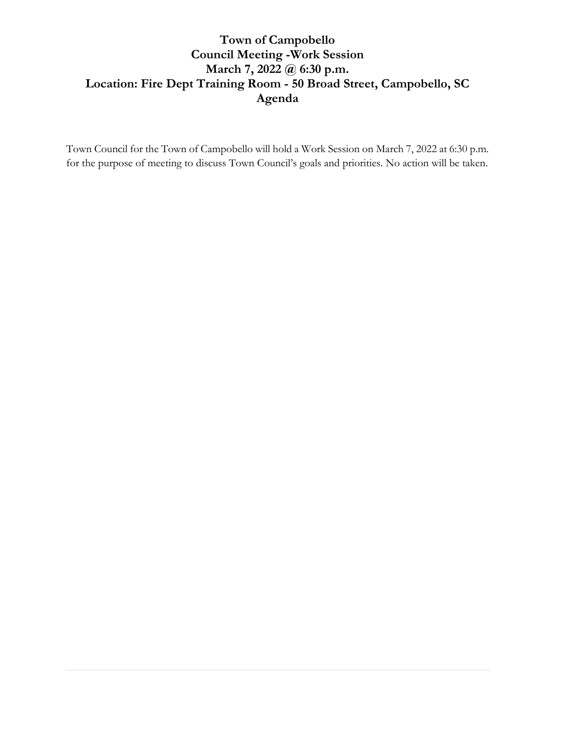## **Town of Campobello Council Meeting -Work Session March 7, 2022 @ 6:30 p.m. Location: Fire Dept Training Room - 50 Broad Street, Campobello, SC Agenda**

Town Council for the Town of Campobello will hold a Work Session on March 7, 2022 at 6:30 p.m. for the purpose of meeting to discuss Town Council's goals and priorities. No action will be taken.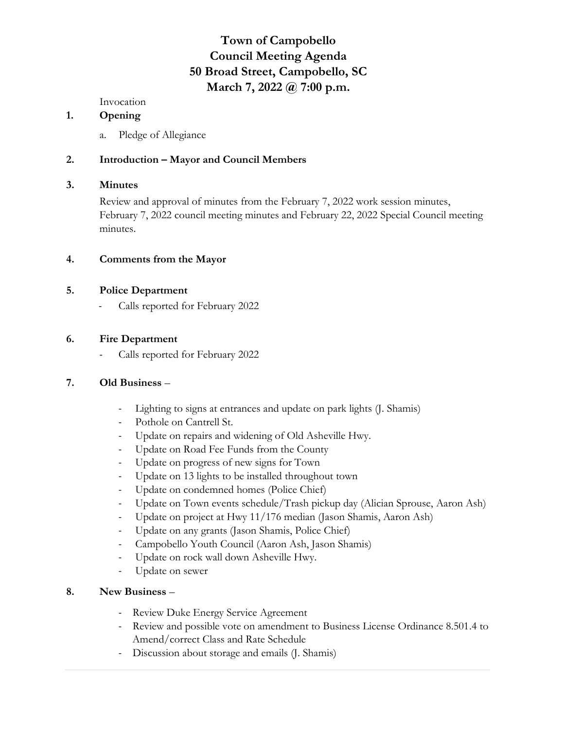# **Town of Campobello Council Meeting Agenda 50 Broad Street, Campobello, SC March 7, 2022 @ 7:00 p.m.**

Invocation

#### **1. Opening**

a. Pledge of Allegiance

### **2. Introduction – Mayor and Council Members**

#### **3. Minutes**

Review and approval of minutes from the February 7, 2022 work session minutes, February 7, 2022 council meeting minutes and February 22, 2022 Special Council meeting minutes.

#### **4. Comments from the Mayor**

#### **5. Police Department**

- Calls reported for February 2022

#### **6. Fire Department**

- Calls reported for February 2022

#### **7. Old Business** –

- Lighting to signs at entrances and update on park lights (J. Shamis)
- Pothole on Cantrell St.
- Update on repairs and widening of Old Asheville Hwy.
- Update on Road Fee Funds from the County
- Update on progress of new signs for Town
- Update on 13 lights to be installed throughout town
- Update on condemned homes (Police Chief)
- Update on Town events schedule/Trash pickup day (Alician Sprouse, Aaron Ash)
- Update on project at Hwy 11/176 median (Jason Shamis, Aaron Ash)
- Update on any grants (Jason Shamis, Police Chief)
- Campobello Youth Council (Aaron Ash, Jason Shamis)
- Update on rock wall down Asheville Hwy.
- Update on sewer

#### **8. New Business** –

- Review Duke Energy Service Agreement
- Review and possible vote on amendment to Business License Ordinance 8.501.4 to Amend/correct Class and Rate Schedule
- Discussion about storage and emails (J. Shamis)